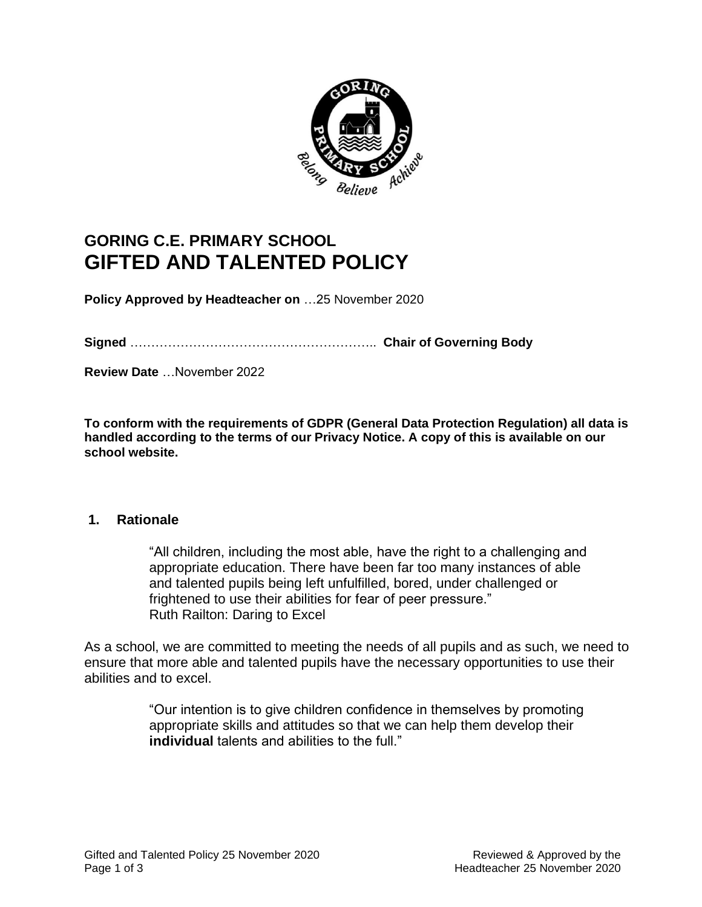

# **GORING C.E. PRIMARY SCHOOL GIFTED AND TALENTED POLICY**

**Policy Approved by Headteacher on** …25 November 2020

**Signed** ………………………………………………….. **Chair of Governing Body**

**Review Date** …November 2022

**To conform with the requirements of GDPR (General Data Protection Regulation) all data is handled according to the terms of our Privacy Notice. A copy of this is available on our school website.** 

#### **1. Rationale**

"All children, including the most able, have the right to a challenging and appropriate education. There have been far too many instances of able and talented pupils being left unfulfilled, bored, under challenged or frightened to use their abilities for fear of peer pressure." Ruth Railton: Daring to Excel

As a school, we are committed to meeting the needs of all pupils and as such, we need to ensure that more able and talented pupils have the necessary opportunities to use their abilities and to excel.

> "Our intention is to give children confidence in themselves by promoting appropriate skills and attitudes so that we can help them develop their **individual** talents and abilities to the full."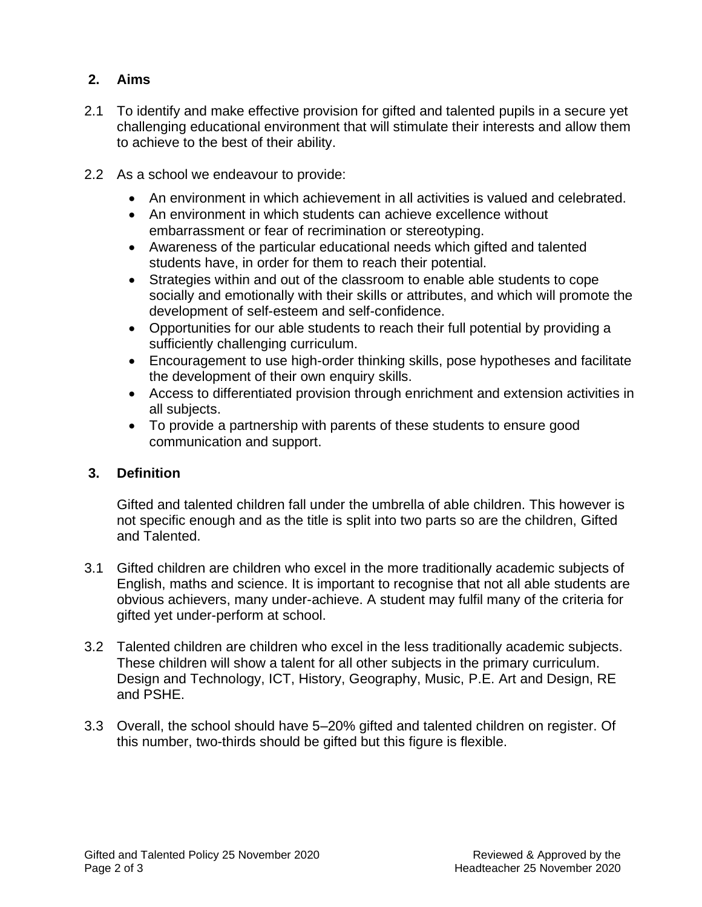# **2. Aims**

- 2.1 To identify and make effective provision for gifted and talented pupils in a secure yet challenging educational environment that will stimulate their interests and allow them to achieve to the best of their ability.
- 2.2 As a school we endeavour to provide:
	- An environment in which achievement in all activities is valued and celebrated.
	- An environment in which students can achieve excellence without embarrassment or fear of recrimination or stereotyping.
	- Awareness of the particular educational needs which gifted and talented students have, in order for them to reach their potential.
	- Strategies within and out of the classroom to enable able students to cope socially and emotionally with their skills or attributes, and which will promote the development of self-esteem and self-confidence.
	- Opportunities for our able students to reach their full potential by providing a sufficiently challenging curriculum.
	- Encouragement to use high-order thinking skills, pose hypotheses and facilitate the development of their own enquiry skills.
	- Access to differentiated provision through enrichment and extension activities in all subjects.
	- To provide a partnership with parents of these students to ensure good communication and support.

### **3. Definition**

Gifted and talented children fall under the umbrella of able children. This however is not specific enough and as the title is split into two parts so are the children, Gifted and Talented.

- 3.1 Gifted children are children who excel in the more traditionally academic subjects of English, maths and science. It is important to recognise that not all able students are obvious achievers, many under-achieve. A student may fulfil many of the criteria for gifted yet under-perform at school.
- 3.2 Talented children are children who excel in the less traditionally academic subjects. These children will show a talent for all other subjects in the primary curriculum. Design and Technology, ICT, History, Geography, Music, P.E. Art and Design, RE and PSHE.
- 3.3 Overall, the school should have 5–20% gifted and talented children on register. Of this number, two-thirds should be gifted but this figure is flexible.